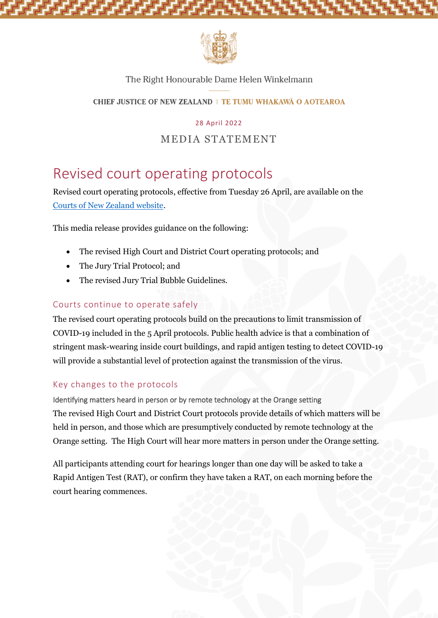

## The Right Honourable Dame Helen Winkelmann

**CHIEF JUSTICE OF NEW ZEALAND | TE TUMU WHAKAWA O AOTEAROA** 

28 April 2022

# MEDIA STATEMENT

# Revised court operating protocols

Revised court operating protocols, effective from Tuesday 26 April, are available on the [Courts of New Zealand website.](https://www.courtsofnz.govt.nz/publications/announcements/covid-19/court-protocols/)

This media release provides guidance on the following:

- The revised High Court and District Court operating protocols; and
- The Jury Trial Protocol; and
- The revised Jury Trial Bubble Guidelines.

## Courts continue to operate safely

The revised court operating protocols build on the precautions to limit transmission of COVID-19 included in the 5 April protocols. Public health advice is that a combination of stringent mask-wearing inside court buildings, and rapid antigen testing to detect COVID-19 will provide a substantial level of protection against the transmission of the virus.

### Key changes to the protocols

Identifying matters heard in person or by remote technology at the Orange setting The revised High Court and District Court protocols provide details of which matters will be held in person, and those which are presumptively conducted by remote technology at the Orange setting. The High Court will hear more matters in person under the Orange setting.

All participants attending court for hearings longer than one day will be asked to take a Rapid Antigen Test (RAT), or confirm they have taken a RAT, on each morning before the court hearing commences.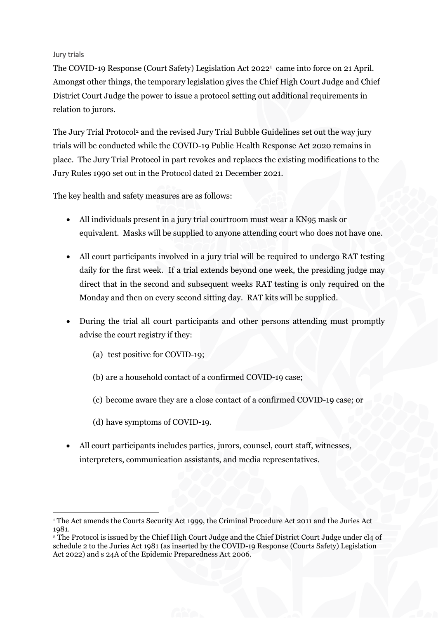#### Jury trials

The COVID-19 Response (Court Safety) Legislation Act 2022<sup>1</sup> came into force on 21 April. Amongst other things, the temporary legislation gives the Chief High Court Judge and Chief District Court Judge the power to issue a protocol setting out additional requirements in relation to jurors.

The Jury Trial Protocol<sup>2</sup> and the revised Jury Trial Bubble Guidelines set out the way jury trials will be conducted while the COVID-19 Public Health Response Act 2020 remains in place. The Jury Trial Protocol in part revokes and replaces the existing modifications to the Jury Rules 1990 set out in the Protocol dated 21 December 2021.

The key health and safety measures are as follows:

- All individuals present in a jury trial courtroom must wear a KN95 mask or equivalent. Masks will be supplied to anyone attending court who does not have one.
- All court participants involved in a jury trial will be required to undergo RAT testing daily for the first week. If a trial extends beyond one week, the presiding judge may direct that in the second and subsequent weeks RAT testing is only required on the Monday and then on every second sitting day. RAT kits will be supplied.
- During the trial all court participants and other persons attending must promptly advise the court registry if they:
	- (a) test positive for COVID-19;
	- (b) are a household contact of a confirmed COVID-19 case;
	- (c) become aware they are a close contact of a confirmed COVID-19 case; or
	- (d) have symptoms of COVID-19.
- All court participants includes parties, jurors, counsel, court staff, witnesses, interpreters, communication assistants, and media representatives.

<sup>1</sup> The Act amends the Courts Security Act 1999, the Criminal Procedure Act 2011 and the Juries Act 1981.

<sup>2</sup> The Protocol is issued by the Chief High Court Judge and the Chief District Court Judge under cl4 of schedule 2 to the Juries Act 1981 (as inserted by the COVID-19 Response (Courts Safety) Legislation Act 2022) and s 24A of the Epidemic Preparedness Act 2006.